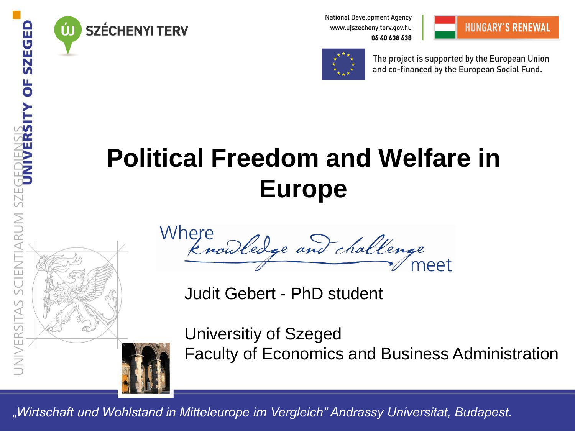

**SZÉCHENYI TERV** 

**National Development Agency** www.ujszechenyiterv.gov.hu 06 40 638 638





The project is supported by the European Union and co-financed by the European Social Fund.

### **Political Freedom and Welfare in Europe**



Where<br>Enouledge and challenge

Judit Gebert - PhD student

Universitiy of Szeged Faculty of Economics and Business Administration

*"Wirtschaft und Wohlstand in Mitteleurope im Vergleich" Andrassy Universitat, Budapest.*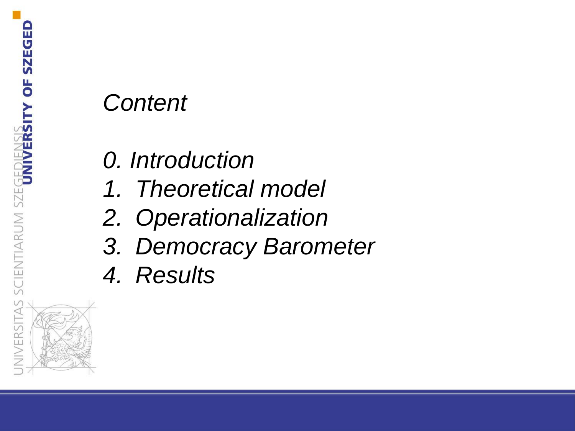#### *Content*

- *0. Introduction*
- *1. Theoretical model*
- *2. Operationalization*
- *3. Democracy Barometer*
- *4. Results*

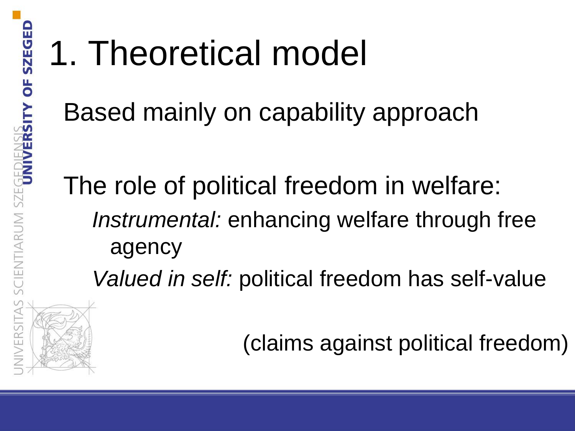# 1. Theoretical model

Based mainly on capability approach

The role of political freedom in welfare: *Instrumental:* enhancing welfare through free agency

*Valued in self:* political freedom has self-value

(claims against political freedom)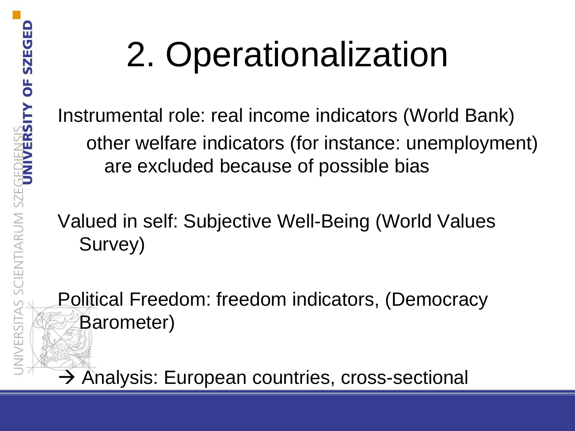# 2. Operationalization

Instrumental role: real income indicators (World Bank) other welfare indicators (for instance: unemployment) are excluded because of possible bias

Valued in self: Subjective Well-Being (World Values Survey)

Political Freedom: freedom indicators, (Democracy Barometer)

 $\rightarrow$  Analysis: European countries, cross-sectional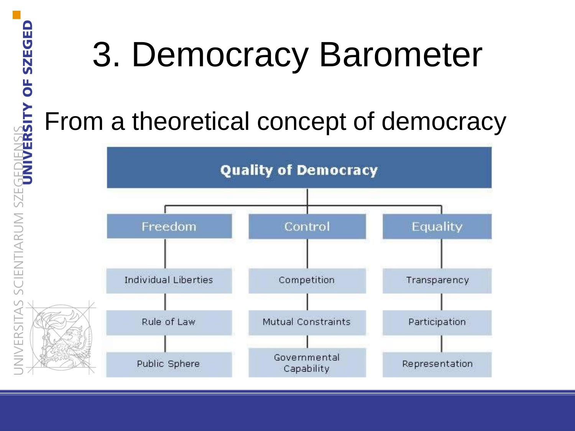### 3. Democracy Barometer

#### From a theoretical concept of democracy

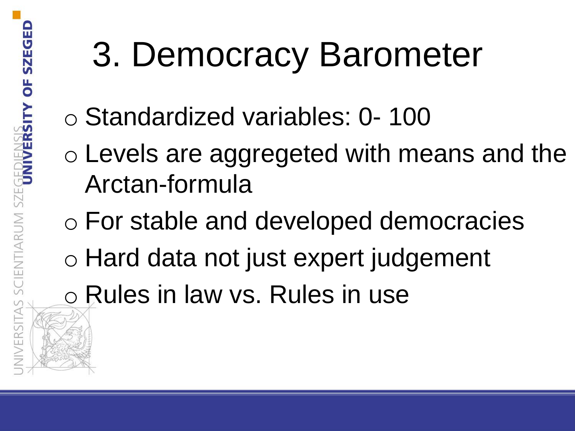# 3. Democracy Barometer

- o Standardized variables: 0- 100
- o Levels are aggregeted with means and the Arctan-formula
- o For stable and developed democracies
- o Hard data not just expert judgement
- o Rules in law vs. Rules in use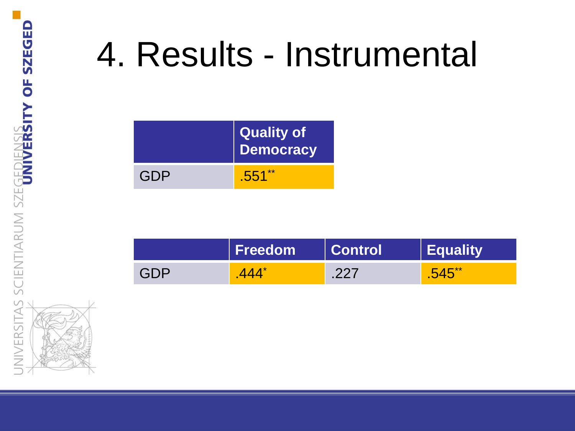## 4. Results - Instrumental

|     | Quality of<br><b>Democracy</b> |
|-----|--------------------------------|
| GDP | $.551**$                       |

|     | <b>Freedom</b> | <b>Control</b> | <b>Equality</b> |
|-----|----------------|----------------|-----------------|
| GDP |                | つつつ            | $FAR**$         |

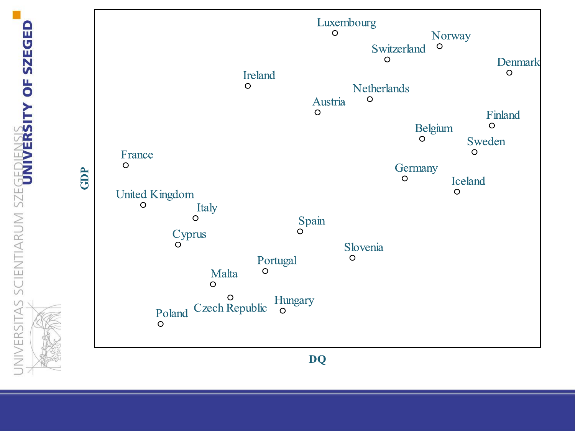GDP



NIVERSITAS SCIENTIARUM SZEGEDIENSI<mark>s ity of szeged</mark>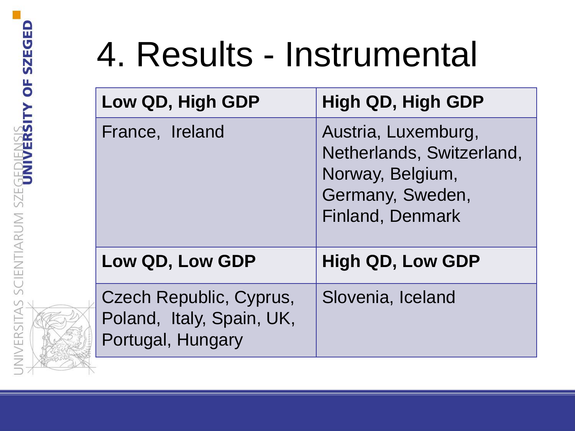## 4. Results - Instrumental

| Low QD, High GDP                                                          | High QD, High GDP                                                                                                   |
|---------------------------------------------------------------------------|---------------------------------------------------------------------------------------------------------------------|
| France, Ireland                                                           | Austria, Luxemburg,<br>Netherlands, Switzerland,<br>Norway, Belgium,<br>Germany, Sweden,<br><b>Finland, Denmark</b> |
| Low QD, Low GDP                                                           | <b>High QD, Low GDP</b>                                                                                             |
| Czech Republic, Cyprus,<br>Poland, Italy, Spain, UK,<br>Portugal, Hungary | Slovenia, Iceland                                                                                                   |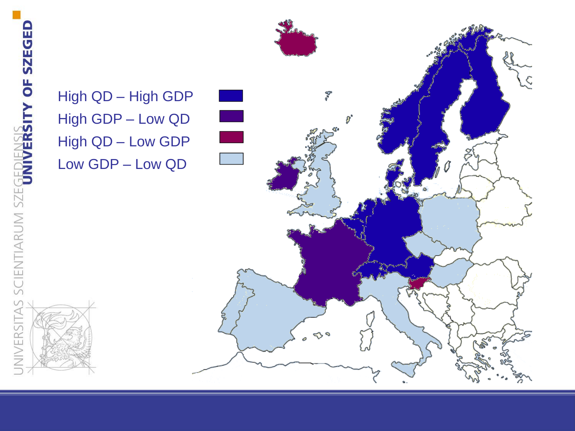NIVERSITAS SCIENTIARUM SZEGEDIENSIS<br>Iniversitas scientiarum szegediensin of Szeged High GDP – Low QD High QD – Low GDP Low GDP – Low QD